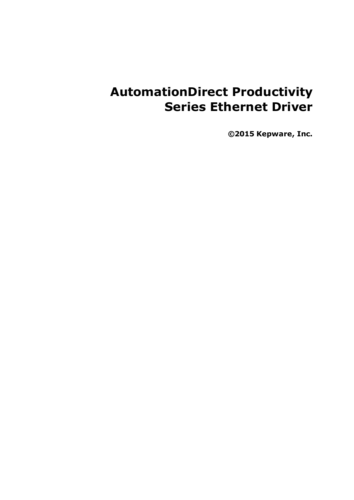# **AutomationDirect Productivity Series Ethernet Driver**

**©2015 Kepware, Inc.**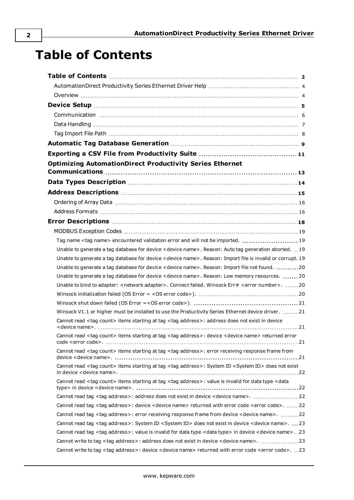# **Table of Contents**

| <b>Optimizing AutomationDirect Productivity Series Ethernet</b>                                                                              |  |
|----------------------------------------------------------------------------------------------------------------------------------------------|--|
|                                                                                                                                              |  |
|                                                                                                                                              |  |
|                                                                                                                                              |  |
|                                                                                                                                              |  |
|                                                                                                                                              |  |
|                                                                                                                                              |  |
| Tag name <tag name=""> encountered validation error and will not be imported.  19</tag>                                                      |  |
| Unable to generate a tag database for device < device name>. Reason: Auto tag generation aborted. 19                                         |  |
| Unable to generate a tag database for device < device name>. Reason: Import file is invalid or corrupt. 19                                   |  |
| Unable to generate a tag database for device < device name>. Reason: Import file not found. 20                                               |  |
| Unable to generate a tag database for device < device name>. Reason: Low memory resources.  20                                               |  |
| Unable to bind to adapter: <network adapter="">. Connect failed. Winsock Err# <error number="">. 20</error></network>                        |  |
|                                                                                                                                              |  |
|                                                                                                                                              |  |
| Winsock V1.1 or higher must be installed to use the Productivity Series Ethernet device driver.  21                                          |  |
| Cannot read <tag count=""> items starting at tag <tag address="">: address does not exist in device</tag></tag>                              |  |
| Cannot read <tag count=""> items starting at tag <tag address="">: device <device name=""> returned error</device></tag></tag>               |  |
| Cannot read <tag count=""> items starting at tag <tag address="">: error receiving response frame from</tag></tag>                           |  |
| Cannot read <tag count=""> items starting at tag <tag address="">: System ID <system id=""> does not exist</system></tag></tag>              |  |
| Cannot read <tag count=""> items starting at tag <tag address="">: value is invalid for data type <data< td=""><td></td></data<></tag></tag> |  |
| Cannot read tag <tag address="">: address does not exist in device <device name="">.  22</device></tag>                                      |  |
| Cannot read tag <tag address="">: device <device name=""> returned with error code <error code="">.  22</error></device></tag>               |  |
| Cannot read tag <tag address="">: error receiving response frame from device <device name="">. 22</device></tag>                             |  |
| Cannot read tag <tag address="">: System ID <system id=""> does not exist in device <device name="">.  23</device></system></tag>            |  |
| Cannot read tag <tag address="">: value is invalid for data type <data type=""> in device <device name="">. 23</device></data></tag>         |  |
| Cannot write to tag <tag address="">: address does not exist in device <device name="">. 23</device></tag>                                   |  |
| Cannot write to tag <tag address="">: device <device name=""> returned with error code <error code="">.23</error></device></tag>             |  |

<span id="page-1-0"></span>**2**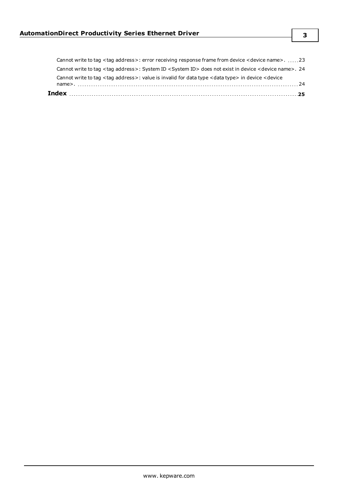| Cannot write to tag <tag address="">: value is invalid for data type <data type=""> in device <device< th=""><th></th></device<></data></tag> |  |
|-----------------------------------------------------------------------------------------------------------------------------------------------|--|
| Cannot write to tag <tag address="">: System ID <system id=""> does not exist in device <device name="">. 24</device></system></tag>          |  |
| Cannot write to tag <tag address="">: error receiving response frame from device <device name="">23</device></tag>                            |  |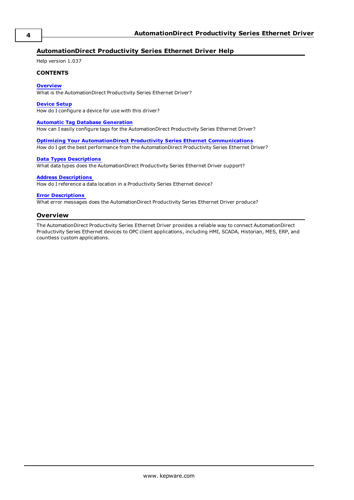#### <span id="page-3-0"></span>**AutomationDirect Productivity Series Ethernet Driver Help**

Help version 1.037

#### **CONTENTS**

#### **[Overview](#page-3-1)**

What is the AutomationDirect Productivity Series Ethernet Driver?

#### **[Device](#page-4-0) Setup**

How do I configure a device for use with this driver?

#### **Automatic Tag Database [Generation](#page-8-0)**

How can I easily configure tags for the AutomationDirect Productivity Series Ethernet Driver?

**Optimizing Your [AutomationDirect](#page-12-0) Productivity Series Ethernet Communications** How do I get the best performance from the AutomationDirect Productivity Series Ethernet Driver?

#### **Data Types [Descriptions](#page-13-0)**

What data types does the AutomationDirect Productivity Series Ethernet Driver support?

#### **Address [Descriptions](#page-14-0)**

How do I reference a data location in a Productivity Series Ethernet device?

#### **Error [Descriptions](#page-17-0)**

<span id="page-3-1"></span>What error messages does the AutomationDirect Productivity Series Ethernet Driver produce?

#### **Overview**

The AutomationDirect Productivity Series Ethernet Driver provides a reliable way to connect AutomationDirect Productivity Series Ethernet devices to OPC client applications, including HMI, SCADA, Historian, MES, ERP, and countless custom applications.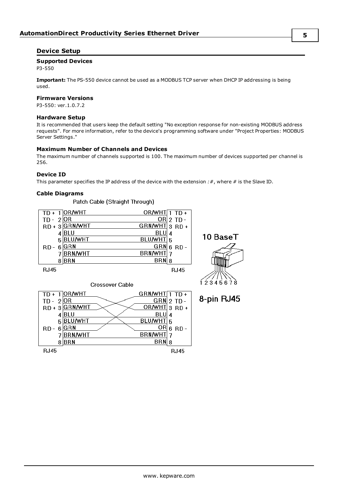#### <span id="page-4-0"></span>**Device Setup**

#### **Supported Devices**

P3-550

**Important:** The PS-550 device cannot be used as a MODBUS TCP server when DHCP IP addressing is being used.

#### **Firmware Versions**

P3-550: ver.1.0.7.2

#### **Hardware Setup**

It is recommended that users keep the default setting "No exception response for non-existing MODBUS address requests". For more information, refer to the device's programming software under "Project Properties: MODBUS Server Settings."

#### **Maximum Number of Channels and Devices**

The maximum number of channels supported is 100. The maximum number of devices supported per channel is 256.

#### **Device ID**

This parameter specifies the IP address of the device with the extension *:#*, where *#* is the Slave ID.

## **Cable Diagrams**

|                      | Patch Cable (Straight Through)  |                     |             |            |
|----------------------|---------------------------------|---------------------|-------------|------------|
| TD +                 | ]OR/WHT                         | OR/WHT <sub>1</sub> | $TD+$       |            |
| TD -                 | 2 OR                            | QR                  | $2$ TD -    |            |
| RD +                 | 3 GRN/WHT                       | GRN/WHT             | $3$ RD +    |            |
|                      | 4 BLU                           | BLU                 | 4           | 10 BaseT   |
|                      | 5 BLU/WHT                       | <b>BLU/WHT</b>      | 5           |            |
| RD -                 | $6$ <sup>GRN</sup>              | <b>GRN</b>          | $6$ RD -    |            |
|                      | <b>BRN/WHT</b>                  | <b>BRN/WHT</b>      | 7           |            |
|                      | 8BRN                            | BRN                 | 8           |            |
| <b>RJ45</b>          |                                 |                     | <b>RJ45</b> |            |
|                      |                                 |                     |             |            |
|                      | Crossover Cable                 |                     |             | 12345678   |
| $\mathbf{1}$<br>TD + | ]OR/WHT                         | <b>GRN/WHT</b>      | TD +        |            |
| TD -                 | 2 OR                            | GRN                 | $2$ TD -    | 8-pin RJ45 |
| RD +                 | 3 GRN/WHT                       | OR/WHT              | $3$ RD +    |            |
|                      | 4 BLU                           | BLU                 | 4           |            |
|                      | 5 BLU/WHT                       | <b>BLU/WHT</b>      | 5           |            |
| RD-                  | $6$ <sup><math>G</math>RN</sup> | ORI                 | 6 RD-       |            |
|                      | <b>BRN/WHT</b>                  | <b>BRN/WHT</b>      | 7           |            |
|                      | 8BRN                            | BRN                 | 8           |            |
| <b>RJ45</b>          |                                 |                     | RJ45        |            |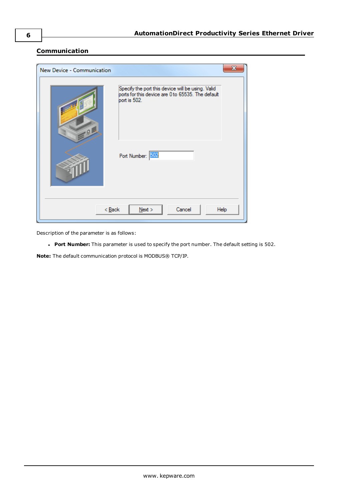#### <span id="page-5-0"></span>**Communication**

| New Device - Communication |                                                                                                                                            |
|----------------------------|--------------------------------------------------------------------------------------------------------------------------------------------|
| 9 <sub>0</sub>             | Specify the port this device will be using. Valid<br>ports for this device are 0 to 65535. The default<br>port is 502.<br>Port Number: 502 |
| $<$ Back                   | Cancel<br>$N$ ext ><br>Help                                                                                                                |

Description of the parameter is as follows:

<sup>l</sup> **Port Number:** This parameter is used to specify the port number. The default setting is 502.

**Note:** The default communication protocol is MODBUS® TCP/IP.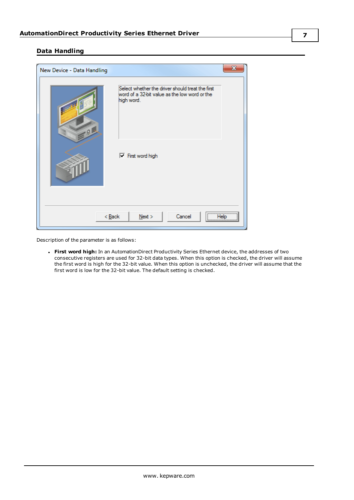#### **7**

#### <span id="page-6-0"></span>**Data Handling**

| New Device - Data Handling |                                                                                                                 | X    |
|----------------------------|-----------------------------------------------------------------------------------------------------------------|------|
| $-9$                       | Select whether the driver should treat the first<br>word of a 32-bit value as the low word or the<br>high word. |      |
|                            | $\nabla$ First word high                                                                                        |      |
| $<$ Back                   | <br>Cancel<br>$N$ ext >                                                                                         | Help |

Description of the parameter is as follows:

<sup>l</sup> **First word high:** In an AutomationDirect Productivity Series Ethernet device, the addresses of two consecutive registers are used for 32-bit data types. When this option is checked, the driver will assume the first word is high for the 32-bit value. When this option is unchecked, the driver will assume that the first word is low for the 32-bit value. The default setting is checked.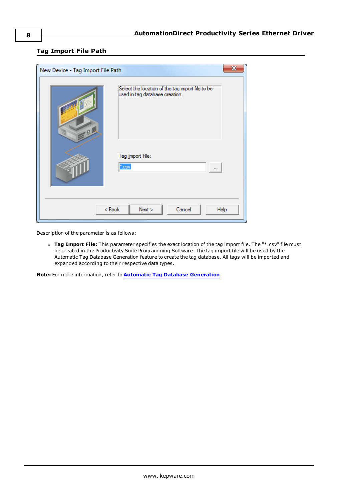#### <span id="page-7-0"></span>**Tag Import File Path**

| x<br>New Device - Tag Import File Path                                                  |                                         |  |  |  |  |
|-----------------------------------------------------------------------------------------|-----------------------------------------|--|--|--|--|
| Select the location of the tag import file to be<br>used in tag database creation.<br>9 |                                         |  |  |  |  |
|                                                                                         | Tag Import File:<br>'.csv               |  |  |  |  |
|                                                                                         | $<$ Back<br>Cancel<br>$N$ ext ><br>Help |  |  |  |  |

Description of the parameter is as follows:

<sup>l</sup> **Tag Import File:** This parameter specifies the exact location of the tag import file. The "\*.csv" file must be created in the Productivity Suite Programming Software. The tag import file will be used by the Automatic Tag Database Generation feature to create the tag database. All tags will be imported and expanded according to their respective data types.

**Note:** For more information, refer to **Automatic Tag Database [Generation](#page-8-0)**.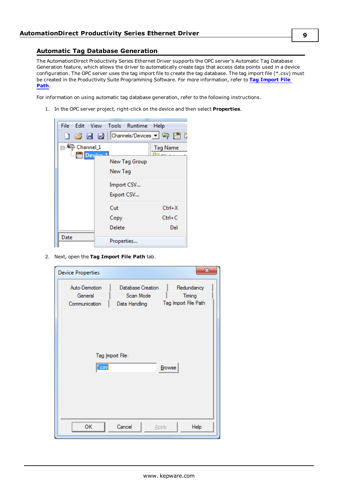#### <span id="page-8-0"></span>**Automatic Tag Database Generation**

The AutomationDirect Productivity Series Ethernet Driver supports the OPC server's Automatic Tag Database Generation feature, which allows the driver to automatically create tags that access data points used in a device configuration. The OPC server uses the tag import file to create the tag database. The tag import file (\*.csv) must be created in the Productivity Suite Programming Software. For more information, refer to **Tag [Import](#page-7-0) File [Path](#page-7-0)**.

For information on using automatic tag database generation, refer to the following instructions.

1. In the OPC server project, right-click on the device and then select **Properties**.



2. Next, open the **Tag Import File Path** tab.

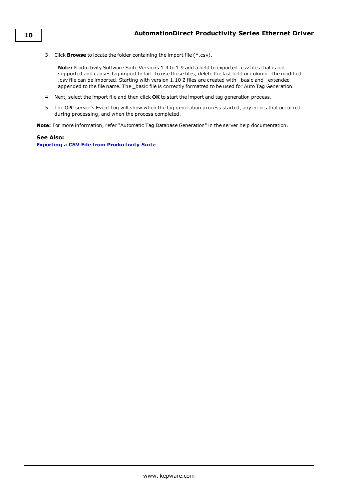3. Click **Browse** to locate the folder containing the import file (\*.csv).

**Note:** Productivity Software Suite Versions 1.4 to 1.9 add a field to exported .csv files that is not supported and causes tag import to fail. To use these files, delete the last field or column. The modified .csv file can be imported. Starting with version 1.10 2 files are created with \_basic and \_extended appended to the file name. The \_basic file is correctly formatted to be used for Auto Tag Generation.

- 4. Next, select the import file and then click **OK** to start the import and tag generation process.
- 5. The OPC server's Event Log will show when the tag generation process started, any errors that occurred during processing, and when the process completed.

**Note:** For more information, refer "Automatic Tag Database Generation" in the server help documentation.

#### **See Also:**

**Exporting a CSV File from [Productivity](#page-10-0) Suite**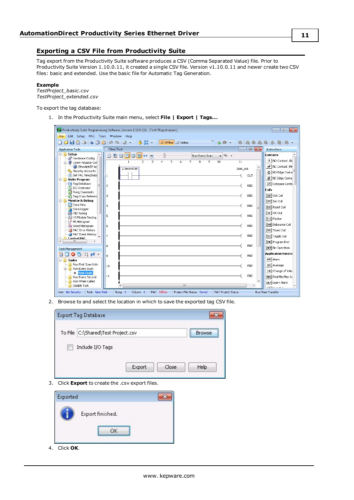#### <span id="page-10-0"></span>**Exporting a CSV File from Productivity Suite**

Tag export from the Productivity Suite software produces a CSV (Comma Separated Value) file. Prior to Productivity Suite Version 1.10.0.11, it created a single CSV file. Version v1.10.0.11 and newer create two CSV files: basic and extended. Use the basic file for Automatic Tag Generation.

#### **Example**

*TestProject\_basic.csv TestProject\_extended.csv*

To export the tag database:

1. In the Productivity Suite main menu, select **File | Export | Tags…**.

|                                                                 | Pro Productivity Suite Programming Software, Version 1.10.0 (11) [Test PRoject.adpro]                         | $\Box$ $\Box$               |
|-----------------------------------------------------------------|---------------------------------------------------------------------------------------------------------------|-----------------------------|
| Edit Setup PAC Tools Window Help<br>File -                      |                                                                                                               |                             |
|                                                                 | $\frac{1}{2}$<br>$9.55 -$<br>Offline 2 Online                                                                 |                             |
| <b>Application Tools</b>                                        | F X<br>New Task<br>$\sim$                                                                                     | Instructions                |
| <b>E- Setup</b>                                                 | 日日口目<br>$\Box$<br>日中<br>100<br>Run Every Scan<br>$\mathfrak{B}_{2}$ .<br>▼                                    | <b>Contacts</b>             |
| Hardware Config<br>Comm Adapter Cor                             | $\overline{2}$<br>3<br>5<br>6<br>$\overline{7}$<br>8<br>9<br>10<br>11<br>$\overline{1}$<br>$\overline{\bf 4}$ | + NO Contact (N             |
| EtherNet/IP Ac                                                  | $\blacktriangle$                                                                                              | ₩ NC Contact (N             |
| Security Accounts                                               | 2 Second Bit<br>2sec_out                                                                                      | HH NO Edge Conta            |
| Set PAC Time/Date                                               | OUT<br>1                                                                                                      |                             |
| <b>Write Program</b><br>A-1                                     |                                                                                                               | 雅 NC Edge Conta             |
| Taq Database<br><b>I/O</b> Overview                             | END<br> 2                                                                                                     | 5종 Compare Conta            |
| Rung Comments                                                   |                                                                                                               | <b>Coils</b>                |
| Tag Cross Referen                                               | END<br> 3                                                                                                     | [0II] Out Coil              |
| <b>Monitor &amp; Debug</b><br>$-$                               |                                                                                                               | [SET] Set Coil              |
| <b>EE</b> Data View                                             | END<br>4                                                                                                      | [RST] Reset Coil            |
| Data Logger                                                     |                                                                                                               | $[0R]$ OR Out               |
| PID Tuning<br>HS Module Testing                                 | END<br>5                                                                                                      |                             |
| R Bit Histogram                                                 |                                                                                                               | [FLS] Flasher               |
| Word Histogram                                                  | END<br>6                                                                                                      | [BBN] Debounce Coil         |
| PAC Error History                                               |                                                                                                               | [TMC] Timed Coil            |
| PAC Event History                                               | 7<br>END                                                                                                      | [TGC] Toggle Coil           |
| <b>Control PAC</b><br>Ġ.<br>$\overline{\phantom{a}}$<br>m.<br>× |                                                                                                               | [END] Program End           |
|                                                                 | END<br>8                                                                                                      | [NOP] No Operation          |
| Task Management                                                 |                                                                                                               |                             |
| $\bullet$ $\bullet$ $\bullet$                                   | END<br>l9                                                                                                     | <b>Application Function</b> |
| <b>E-Tasks</b>                                                  |                                                                                                               | <b>RLM</b> Alarm            |
| Run First Scan Only                                             | END<br>10                                                                                                     | <b>AVG</b> Average          |
| Run Every Scan<br><b>O</b> New Task                             |                                                                                                               | CHG Change of Valu          |
| Run Every Second                                                | END<br>11                                                                                                     | MIMX Find Min Max Va        |
| Run When Called                                                 |                                                                                                               | LALM Learn Alarm            |
| Disable Task                                                    | m                                                                                                             | فتندي بناعما                |
| Task New Task<br>User No Security                               | Column 1<br>PAC Offline<br>Project File Status Saved<br>Runa<br><b>PAC Project Status</b><br>-1               | <b>Run Time Transfer</b>    |

2. Browse to and select the location in which to save the exported tag CSV file.

| <b>Export Tag Database</b>         |        |       |                   |
|------------------------------------|--------|-------|-------------------|
| To File C:\Shared\Test Project.csv |        |       | <br><b>Browse</b> |
| Include I/O Tags                   |        |       |                   |
|                                    |        |       |                   |
|                                    | Export | Close | Help              |

3. Click **Export** to create the .csv export files.

| Exported |                  |  |
|----------|------------------|--|
|          | Export finished. |  |
|          | ΩK               |  |

4. Click **OK**.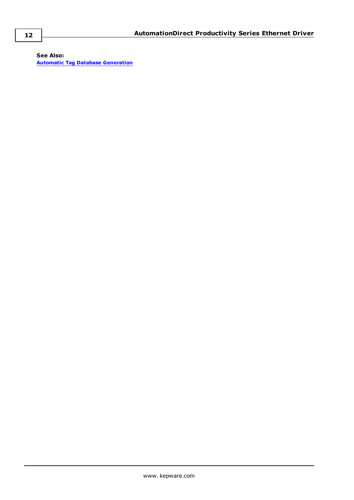**See Also: Automatic Tag Database [Generation](#page-8-0)**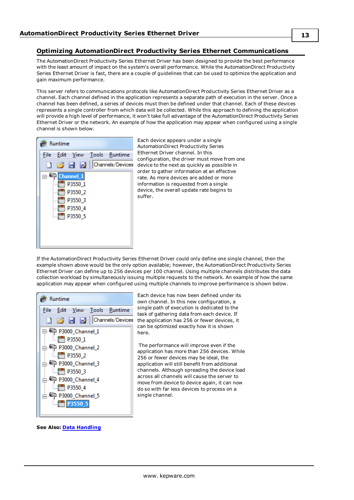#### <span id="page-12-0"></span>**Optimizing AutomationDirect Productivity Series Ethernet Communications**

The AutomationDirect Productivity Series Ethernet Driver has been designed to provide the best performance with the least amount of impact on the system's overall performance. While the AutomationDirect Productivity Series Ethernet Driver is fast, there are a couple of guidelines that can be used to optimize the application and gain maximum performance.

This server refers to communications protocols like AutomationDirect Productivity Series Ethernet Driver as a channel. Each channel defined in the application represents a separate path of execution in the server. Once a channel has been defined, a series of devices must then be defined under that channel. Each of these devices represents a single controller from which data will be collected. While this approach to defining the application will provide a high level of performance, it won't take full advantage of the AutomationDirect Productivity Series Ethernet Driver or the network. An example of how the application may appear when configured using a single channel is shown below.



Each device appears under a single AutomationDirect Productivity Series Ethernet Driver channel. In this configuration, the driver must move from one device to the next as quickly as possible in order to gather information at an effective rate. As more devices are added or more information is requested from a single device, the overall update rate begins to suffer.

If the AutomationDirect Productivity Series Ethernet Driver could only define one single channel, then the example shown above would be the only option available; however, the AutomationDirect Productivity Series Ethernet Driver can define up to 256 devices per 100 channel. Using multiple channels distributes the data collection workload by simultaneously issuing multiple requests to the network. An example of how the same application may appear when configured using multiple channels to improve performance is shown below.



Each device has now been defined under its own channel. In this new configuration, a single path of execution is dedicated to the task of gathering data from each device. If the application has 256 or fewer devices, it can be optimized exactly how it is shown here.

The performance will improve even if the application has more than 256 devices. While 256 or fewer devices may be ideal, the application will still benefit from additional channels. Although spreading the device load across all channels will cause the server to move from device to device again, it can now do so with far less devices to process on a single channel.

**See Also: Data [Handling](#page-6-0)**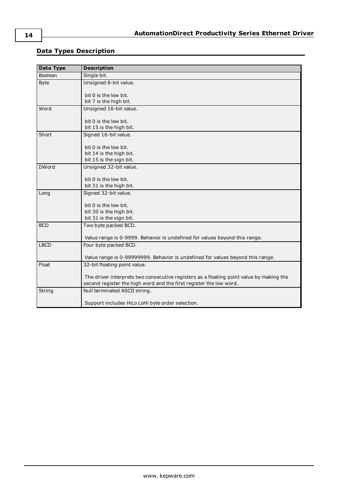### <span id="page-13-0"></span>**Data Types Description**

| <b>Data Type</b> | <b>Description</b>                                                                                                                                            |
|------------------|---------------------------------------------------------------------------------------------------------------------------------------------------------------|
| <b>Boolean</b>   | Single bit.                                                                                                                                                   |
| <b>Byte</b>      | Unsigned 8-bit value.                                                                                                                                         |
|                  | bit 0 is the low bit.                                                                                                                                         |
|                  | bit 7 is the high bit.                                                                                                                                        |
| Word             | Unsigned 16-bit value.                                                                                                                                        |
|                  | bit 0 is the low bit.                                                                                                                                         |
|                  | bit 15 is the high bit.                                                                                                                                       |
| Short            | Signed 16-bit value.                                                                                                                                          |
|                  | bit 0 is the low bit.                                                                                                                                         |
|                  | bit 14 is the high bit.                                                                                                                                       |
|                  | bit 15 is the sign bit.                                                                                                                                       |
| <b>DWord</b>     | Unsigned 32-bit value.                                                                                                                                        |
|                  | bit 0 is the low bit.                                                                                                                                         |
|                  | bit 31 is the high bit.                                                                                                                                       |
| Long             | Signed 32-bit value.                                                                                                                                          |
|                  | bit 0 is the low bit.                                                                                                                                         |
|                  | bit 30 is the high bit.                                                                                                                                       |
|                  | bit 31 is the sign bit.                                                                                                                                       |
| <b>BCD</b>       | Two byte packed BCD.                                                                                                                                          |
|                  | Value range is 0-9999. Behavior is undefined for values beyond this range.                                                                                    |
| <b>LBCD</b>      | Four byte packed BCD.                                                                                                                                         |
|                  | Value range is 0-99999999. Behavior is undefined for values beyond this range.                                                                                |
| Float            | 32-bit floating point value.                                                                                                                                  |
|                  | The driver interprets two consecutive registers as a floating point value by making the<br>second register the high word and the first register the low word. |
| String           | Null terminated ASCII string.                                                                                                                                 |
|                  | Support includes HiLo LoHi byte order selection.                                                                                                              |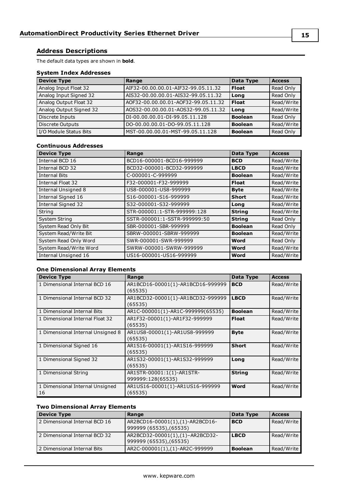#### <span id="page-14-0"></span>**Address Descriptions**

The default data types are shown in **bold**.

#### **System Index Addresses**

| <b>Device Type</b>      | Range                               | <b>Data Type</b> | <b>Access</b> |
|-------------------------|-------------------------------------|------------------|---------------|
| Analog Input Float 32   | AIF32-00.00.00.01-AIF32-99.05.11.32 | <b>Float</b>     | Read Only     |
| Analog Input Signed 32  | AIS32-00.00.00.01-AIS32-99.05.11.32 | Long             | Read Only     |
| Analog Output Float 32  | AOF32-00.00.00.01-AOF32-99.05.11.32 | l Float          | Read/Write    |
| Analog Output Signed 32 | AOS32-00.00.00.01-AOS32-99.05.11.32 | Long             | Read/Write    |
| Discrete Inputs         | DI-00.00.00.01-DI-99.05.11.128      | <b>Boolean</b>   | Read Only     |
| <b>Discrete Outputs</b> | DO-00.00.00.01-DO-99.05.11.128      | <b>Boolean</b>   | Read/Write    |
| I/O Module Status Bits  | MST-00.00.00.01-MST-99.05.11.128    | <b>Boolean</b>   | Read Only     |

#### **Continuous Addresses**

| <b>Device Type</b>         | Range                        | Data Type      | <b>Access</b> |
|----------------------------|------------------------------|----------------|---------------|
| Internal BCD 16            | BCD16-000001-BCD16-999999    | <b>BCD</b>     | Read/Write    |
| Internal BCD 32            | BCD32-000001-BCD32-999999    | <b>LBCD</b>    | Read/Write    |
| <b>Internal Bits</b>       | C-000001-C-999999            | <b>Boolean</b> | Read/Write    |
| Internal Float 32          | F32-000001-F32-999999        | <b>Float</b>   | Read/Write    |
| <b>Internal Unsigned 8</b> | US8-000001-US8-999999        | <b>Byte</b>    | Read/Write    |
| Internal Signed 16         | S16-000001-S16-999999        | <b>Short</b>   | Read/Write    |
| <b>Internal Signed 32</b>  | S32-000001-S32-999999        | Long           | Read/Write    |
| String                     | STR-000001:1-STR-999999:128  | <b>String</b>  | Read/Write    |
| System String              | SSTR-000001:1-SSTR-999999:50 | <b>String</b>  | Read Only     |
| System Read Only Bit       | SBR-000001-SBR-999999        | <b>Boolean</b> | Read Only     |
| System Read/Write Bit      | SBRW-000001-SBRW-999999      | <b>Boolean</b> | Read/Write    |
| System Read Only Word      | SWR-000001-SWR-999999        | Word           | Read Only     |
| System Read/Write Word     | SWRW-000001-SWRW-999999      | Word           | Read/Write    |
| Internal Unsigned 16       | US16-000001-US16-999999      | Word           | Read/Write    |

#### **One Dimensional Array Elements**

| <b>Device Type</b>                    | Range                                          | Data Type      | <b>Access</b> |
|---------------------------------------|------------------------------------------------|----------------|---------------|
| 1 Dimensional Internal BCD 16         | AR1BCD16-00001(1)-AR1BCD16-999999<br>(65535)   | <b>BCD</b>     | Read/Write    |
| 1 Dimensional Internal BCD 32         | AR1BCD32-00001(1)-AR1BCD32-999999<br>(65535)   | <b>LBCD</b>    | Read/Write    |
| 1 Dimensional Internal Bits           | AR1C-000001(1)-AR1C-999999(65535)              | <b>Boolean</b> | Read/Write    |
| 1 Dimensional Internal Float 32       | AR1F32-00001(1)-AR1F32-999999<br>(65535)       | <b>Float</b>   | Read/Write    |
| 1 Dimensional Internal Unsigned 8     | AR1US8-00001(1)-AR1US8-999999<br>(65535)       | <b>Byte</b>    | Read/Write    |
| 1 Dimensional Signed 16               | AR1S16-00001(1)-AR1S16-999999<br>(65535)       | <b>Short</b>   | Read/Write    |
| 1 Dimensional Signed 32               | AR1S32-00001(1)-AR1S32-999999<br>(65535)       | Long           | Read/Write    |
| 1 Dimensional String                  | AR1STR-00001:1(1)-AR1STR-<br>999999:128(65535) | <b>String</b>  | Read/Write    |
| 1 Dimensional Internal Unsigned<br>16 | AR1US16-00001(1)-AR1US16-999999<br>(65535)     | Word           | Read/Write    |

#### **Two Dimensional Array Elements**

| <b>Device Type</b>              | Range                                                      | Data Type      | <b>Access</b> |
|---------------------------------|------------------------------------------------------------|----------------|---------------|
| 2 Dimensional Internal BCD 16   | AR2BCD16-00001(1),(1)-AR2BCD16-<br>999999 (65535), (65535) | <b>BCD</b>     | Read/Write    |
| l 2 Dimensional Internal BCD 32 | AR2BCD32-00001(1),(1)-AR2BCD32-<br>999999 (65535), (65535) | <b>LBCD</b>    | Read/Write    |
| 2 Dimensional Internal Bits     | AR2C-000001(1),(1)-AR2C-999999                             | <b>Boolean</b> | Read/Write    |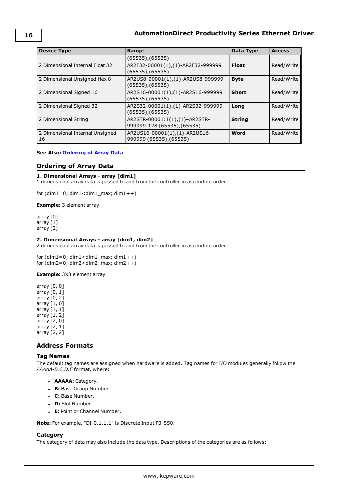| <b>Device Type</b>                      | Range                                                        | Data Type     | <b>Access</b> |
|-----------------------------------------|--------------------------------------------------------------|---------------|---------------|
|                                         | $(65535)$ , $(65535)$                                        |               |               |
| 2 Dimensional Internal Float 32         | AR2F32-00001(1),(1)-AR2F32-999999<br>(65535), (65535)        | <b>Float</b>  | Read/Write    |
| 2 Dimensional Unsigned Hex 8            | AR2US8-00001(1),(1)-AR2US8-999999<br>(65535), (65535)        | <b>Byte</b>   | Read/Write    |
| 2 Dimensional Signed 16                 | AR2S16-00001(1),(1)-AR2S16-999999<br>$(65535)$ , $(65535)$   | <b>Short</b>  | Read/Write    |
| 2 Dimensional Signed 32                 | AR2S32-00001(1),(1)-AR2S32-999999<br>$(65535)$ , $(65535)$   | Long          | Read/Write    |
| 2 Dimensional String                    | AR2STR-00001:1(1),(1)-AR2STR-<br>999999:128 (65535), (65535) | <b>String</b> | Read/Write    |
| 2 Dimensional Internal Unsigned<br>  16 | AR2US16-00001(1),(1)-AR2US16-<br>999999 (65535), (65535)     | Word          | Read/Write    |

#### <span id="page-15-0"></span>**See Also: [Ordering](#page-15-0) of Array Data**

#### **Ordering of Array Data**

#### **1. Dimensional Arrays - array [dim1]**

1 dimensional array data is passed to and from the controller in ascending order:

for  $(dim1=0; dim1 < dim1_{max}; dim1++)$ 

**Example:** 3 element array

array [0] array [1] array [2]

#### **2. Dimensional Arrays - array [dim1, dim2]**

2 dimensional array data is passed to and from the controller in ascending order:

for  $(dim1=0; dim1 < dim1_{max}; dim1++)$ for  $(dim2=0; dim2 < dim2_{max}; dim2++)$ 

**Example:** 3X3 element array

array [0, 0] array [0, 1] array [0, 2] array [1, 0] array [1, 1] array [1, 2] array [2, 0] array [2, 1] array [2, 2]

#### <span id="page-15-1"></span>**Address Formats**

#### **Tag Names**

The default tag names are assigned when hardware is added. Tag names for I/O modules generally follow the *AAAAA-B.C.D.E* format, where:

- **. AAAAA:** Category.
- **B:** Base Group Number.
- <sup>l</sup> **C:** Base Number.
- **D:** Slot Number.
- **E:** Point or Channel Number.

**Note:** For example, "DI-0.1.1.1" is Discrete Input P3-550.

#### **Category**

The category of data may also include the data type. Descriptions of the categories are as follows: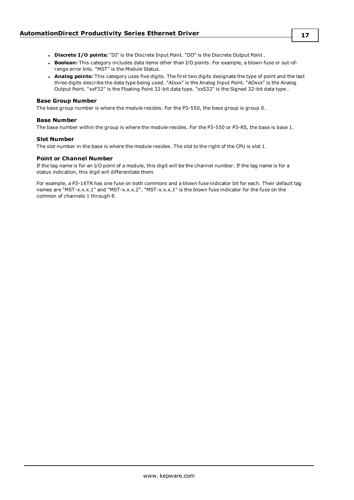- <sup>l</sup> **Discrete I/O points:** "DI" is the Discrete Input Point. "DO" is the Discrete Output Point .
- Boolean: This category includes data items other than I/O points. For example, a blown fuse or out-ofrange error bits. "MST" is the Module Status.
- **Analog points:** This category uses five digits. The first two digits designate the type of point and the last three digits describe the data type being used. "AIxxx" is the Analog Input Point. "AOxxx" is the Analog Output Point. "xxF32" is the Floating Point 32-bit data type. "xxS32" is the Signed 32-bit data type .

#### **Base Group Number**

The base group number is where the module resides. For the P3-550, the base group is group 0.

#### **Base Number**

The base number within the group is where the module resides. For the P3-550 or P3-RS, the base is base 1.

#### **Slot Number**

The slot number in the base is where the module resides. The slot to the right of the CPU is slot 1.

#### **Point or Channel Number**

If the tag name is for an I/O point of a module, this digit will be the channel number. If the tag name is for a status indication, this digit will differentiate them.

For example, a P3-16TR has one fuse on both commons and a blown fuse indicator bit for each. Their default tag names are "MST-x.x.x.1" and "MST-x.x.x.2". "MST-x.x.x.1" is the blown fuse indicator for the fuse on the common of channels 1 through 8.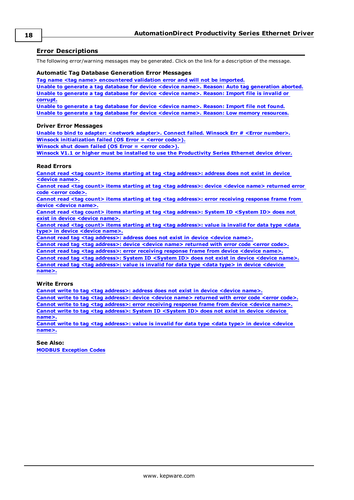#### <span id="page-17-0"></span>**Error Descriptions**

The following error/warning messages may be generated. Click on the link for a description of the message.

#### **Automatic Tag Database Generation Error Messages**

**Tag name <tag name> [encountered](#page-18-1) validation error and will not be imported.**

**Unable to generate a tag database for device <device name>. Reason: Auto tag [generation](#page-18-2) aborted. Unable to [generate](#page-18-3) a tag database for device <device name>. Reason: Import file is invalid or [corrupt.](#page-18-3)**

**Unable to [generate](#page-19-0) a tag database for device <device name>. Reason: Import file not found. Unable to generate a tag database for device <device name>. Reason: Low memory [resources.](#page-19-1)**

#### **Driver Error Messages**

**Unable to bind to adapter: <network adapter>. Connect failed. Winsock Err # <Error [number>.](#page-19-2) Winsock [initialization](#page-19-3) failed (OS Error = <error code>).**

**[Winsock](#page-20-0) shut down failed (OS Error = <error code>).**

**Winsock V1.1 or higher must be installed to use the [Productivity](#page-20-1) Series Ethernet device driver.**

#### **Read Errors**

**Cannot read <tag count> items starting at tag <tag [address>:](#page-20-2) address does not exist in device [<device](#page-20-2) name>.**

**Cannot read <tag count> items starting at tag <tag [address>:](#page-20-3) device <device name> returned error code <error [code>.](#page-20-3)**

**Cannot read <tag count> items starting at tag <tag [address>:](#page-20-4) error receiving response frame from device [<device](#page-20-4) name>.**

**Cannot read <tag count> items starting at tag <tag [address>:](#page-21-0) System ID <System ID> does not exist in device [<device](#page-21-0) name>.**

**Cannot read <tag count> items starting at tag <tag [address>:](#page-21-1) value is invalid for data type <data type> in device [<device](#page-21-1) name>.**

**Cannot read tag <tag [address>:](#page-21-2) address does not exist in device <device name>.**

**Cannot read tag <tag [address>:](#page-21-3) device <device name> returned with error code <error code>.**

**Cannot read tag <tag [address>:](#page-21-4) error receiving response frame from device <device name>.**

**Cannot read tag <tag [address>:](#page-22-0) System ID <System ID> does not exist in device <device name>. Cannot read tag <tag [address>:](#page-22-1) value is invalid for data type <data type> in device <device [name>.](#page-22-1)**

#### **Write Errors**

**Cannot write to tag <tag [address>:](#page-22-2) address does not exist in device <device name>. Cannot write to tag <tag [address>:](#page-22-3) device <device name> returned with error code <error code>. Cannot write to tag <tag [address>:](#page-22-4) error receiving response frame from device <device name>. Cannot write to tag <tag [address>:](#page-23-0) System ID <System ID> does not exist in device <device [name>.](#page-23-0)**

**Cannot write to tag <tag [address>:](#page-23-1) value is invalid for data type <data type> in device <device [name>.](#page-23-1)**

**See Also: MODBUS [Exception](#page-18-0) Codes**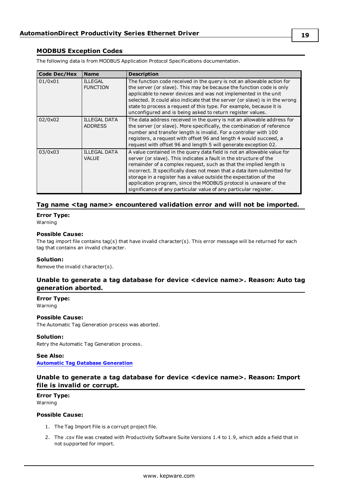#### <span id="page-18-0"></span>**MODBUS Exception Codes**

The following data is from MODBUS Application Protocol Specifications documentation.

| <b>Code Dec/Hex</b> | <b>Name</b>                           | <b>Description</b>                                                                                                                                                                                                                                                                                                                                                                                                                                                                                        |
|---------------------|---------------------------------------|-----------------------------------------------------------------------------------------------------------------------------------------------------------------------------------------------------------------------------------------------------------------------------------------------------------------------------------------------------------------------------------------------------------------------------------------------------------------------------------------------------------|
| 01/0x01             | <b>ILLEGAL</b><br><b>FUNCTION</b>     | The function code received in the query is not an allowable action for<br>the server (or slave). This may be because the function code is only<br>applicable to newer devices and was not implemented in the unit<br>selected. It could also indicate that the server (or slave) is in the wrong<br>state to process a request of this type. For example, because it is<br>unconfigured and is being asked to return register values.                                                                     |
| 02/0x02             | <b>ILLEGAL DATA</b><br><b>ADDRESS</b> | The data address received in the query is not an allowable address for<br>the server (or slave). More specifically, the combination of reference<br>number and transfer length is invalid. For a controller with 100<br>registers, a request with offset 96 and length 4 would succeed, a<br>request with offset 96 and length 5 will generate exception 02.                                                                                                                                              |
| 03/0x03             | <b>ILLEGAL DATA</b><br>VALUE          | A value contained in the query data field is not an allowable value for<br>server (or slave). This indicates a fault in the structure of the<br>remainder of a complex request, such as that the implied length is<br>incorrect. It specifically does not mean that a data item submitted for<br>storage in a register has a value outside the expectation of the<br>application program, since the MODBUS protocol is unaware of the<br>significance of any particular value of any particular register. |

#### <span id="page-18-1"></span>**Tag name <tag name> encountered validation error and will not be imported.**

### **Error Type:**

Warning

#### **Possible Cause:**

The tag import file contains tag(s) that have invalid character(s). This error message will be returned for each tag that contains an invalid character.

#### **Solution:**

<span id="page-18-2"></span>Remove the invalid character(s).

#### **Unable to generate a tag database for device <device name>. Reason: Auto tag generation aborted.**

**Error Type:** Warning

#### **Possible Cause:**

The Automatic Tag Generation process was aborted.

#### **Solution:**

Retry the Automatic Tag Generation process.

#### **See Also:**

<span id="page-18-3"></span>**Automatic Tag Database [Generation](#page-8-0)**

#### **Unable to generate a tag database for device <device name>. Reason: Import file is invalid or corrupt.**

#### **Error Type:** Warning

#### **Possible Cause:**

- 1. The Tag Import File is a corrupt project file.
- 2. The .csv file was created with Productivity Software Suite Versions 1.4 to 1.9, which adds a field that in not supported for import.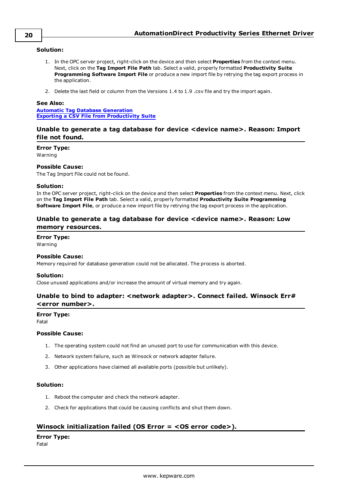#### **Solution:**

- 1. In the OPC server project, right-click on the device and then select **Properties** from the context menu. Next, click on the **Tag Import File Path** tab. Select a valid, properly formatted **Productivity Suite Programming Software Import File** or produce a new import file by retrying the tag export process in the application.
- 2. Delete the last field or column from the Versions 1.4 to 1.9 .csv file and try the import again.

#### **See Also:**

**Automatic Tag Database [Generation](#page-8-0) Exporting a CSV File from [Productivity](#page-10-0) Suite**

#### <span id="page-19-0"></span>**Unable to generate a tag database for device <device name>. Reason: Import file not found.**

#### **Error Type:**

Warning

#### **Possible Cause:**

The Tag Import File could not be found.

#### **Solution:**

In the OPC server project, right-click on the device and then select **Properties** from the context menu. Next, click on the **Tag Import File Path** tab. Select a valid, properly formatted **Productivity Suite Programming Software Import File**, or produce a new import file by retrying the tag export process in the application.

#### <span id="page-19-1"></span>**Unable to generate a tag database for device <device name>. Reason: Low memory resources.**

#### **Error Type:**

Warning

#### **Possible Cause:**

Memory required for database generation could not be allocated. The process is aborted.

#### **Solution:**

<span id="page-19-2"></span>Close unused applications and/or increase the amount of virtual memory and try again.

#### **Unable to bind to adapter: <network adapter>. Connect failed. Winsock Err# <error number>.**

#### **Error Type:**

Fatal

#### **Possible Cause:**

- 1. The operating system could not find an unused port to use for communication with this device.
- 2. Network system failure, such as Winsock or network adapter failure.
- 3. Other applications have claimed all available ports (possible but unlikely).

#### **Solution:**

- 1. Reboot the computer and check the network adapter.
- 2. Check for applications that could be causing conflicts and shut them down.

#### <span id="page-19-3"></span>**Winsock initialization failed (OS Error = <OS error code>).**

#### **Error Type:**

Fatal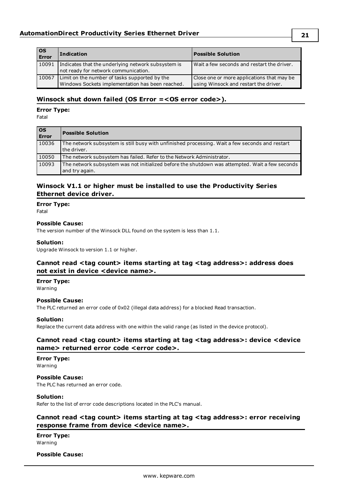| $ $ OS<br>Error | <b>Indication</b>                                                                                 | <b>Possible Solution</b>                                                            |
|-----------------|---------------------------------------------------------------------------------------------------|-------------------------------------------------------------------------------------|
| 10091           | Indicates that the underlying network subsystem is<br>not ready for network communication.        | Wait a few seconds and restart the driver.                                          |
| 10067           | Limit on the number of tasks supported by the<br>Windows Sockets implementation has been reached. | Close one or more applications that may be<br>using Winsock and restart the driver. |

#### <span id="page-20-0"></span>**Winsock shut down failed (OS Error =<OS error code>).**

#### **Error Type:**

Fatal

| $\overline{\text{os}}$<br>Error | <b>Possible Solution</b>                                                                                          |
|---------------------------------|-------------------------------------------------------------------------------------------------------------------|
| 10036                           | The network subsystem is still busy with unfinished processing. Wait a few seconds and restart<br>the driver.     |
| 10050                           | The network subsystem has failed. Refer to the Network Administrator.                                             |
| 10093                           | The network subsystem was not initialized before the shutdown was attempted. Wait a few seconds<br>and try again. |

#### <span id="page-20-1"></span>**Winsock V1.1 or higher must be installed to use the Productivity Series Ethernet device driver.**

#### **Error Type:**

Fatal

#### **Possible Cause:**

The version number of the Winsock DLL found on the system is less than 1.1.

#### **Solution:**

<span id="page-20-2"></span>Upgrade Winsock to version 1.1 or higher.

#### **Cannot read <tag count> items starting at tag <tag address>: address does not exist in device <device name>.**

#### **Error Type:** Warning

#### **Possible Cause:**

The PLC returned an error code of 0x02 (illegal data address) for a blocked Read transaction.

#### **Solution:**

<span id="page-20-3"></span>Replace the current data address with one within the valid range (as listed in the device protocol).

#### **Cannot read <tag count> items starting at tag <tag address>: device <device name> returned error code <error code>.**

### **Error Type:**

Warning

**Possible Cause:** The PLC has returned an error code.

#### **Solution:**

<span id="page-20-4"></span>Refer to the list of error code descriptions located in the PLC's manual.

#### **Cannot read <tag count> items starting at tag <tag address>: error receiving response frame from device <device name>.**

**Error Type:** Warning

#### **Possible Cause:**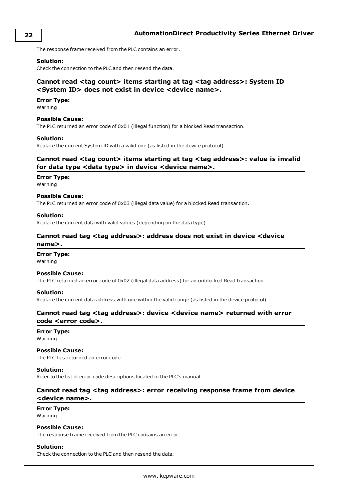The response frame received from the PLC contains an error.

#### **Solution:**

<span id="page-21-0"></span>Check the connection to the PLC and then resend the data.

#### **Cannot read <tag count> items starting at tag <tag address>: System ID <System ID> does not exist in device <device name>.**

#### **Error Type:**

Warning

#### **Possible Cause:**

The PLC returned an error code of 0x01 (illegal function) for a blocked Read transaction.

#### **Solution:**

<span id="page-21-1"></span>Replace the current System ID with a valid one (as listed in the device protocol).

#### **Cannot read <tag count> items starting at tag <tag address>: value is invalid for data type <data type> in device <device name>.**

#### **Error Type:**

Warning

#### **Possible Cause:**

The PLC returned an error code of 0x03 (illegal data value) for a blocked Read transaction.

#### **Solution:**

<span id="page-21-2"></span>Replace the current data with valid values (depending on the data type).

#### **Cannot read tag <tag address>: address does not exist in device <device name>.**

#### **Error Type:**

Warning

#### **Possible Cause:**

The PLC returned an error code of 0x02 (illegal data address) for an unblocked Read transaction.

#### **Solution:**

<span id="page-21-3"></span>Replace the current data address with one within the valid range (as listed in the device protocol).

#### **Cannot read tag <tag address>: device <device name> returned with error code <error code>.**

**Error Type:** Warning

#### **Possible Cause:**

The PLC has returned an error code.

#### **Solution:**

<span id="page-21-4"></span>Refer to the list of error code descriptions located in the PLC's manual.

#### **Cannot read tag <tag address>: error receiving response frame from device <device name>.**

### **Error Type:**

Warning

#### **Possible Cause:**

The response frame received from the PLC contains an error.

#### **Solution:**

Check the connection to the PLC and then resend the data.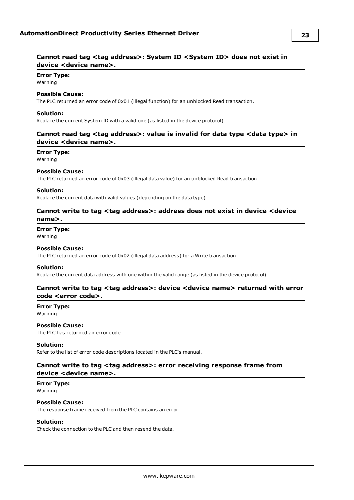#### <span id="page-22-0"></span>**Cannot read tag <tag address>: System ID <System ID> does not exist in device <device name>.**

### **Error Type:**

Warning

#### **Possible Cause:**

The PLC returned an error code of 0x01 (illegal function) for an unblocked Read transaction.

#### **Solution:**

<span id="page-22-1"></span>Replace the current System ID with a valid one (as listed in the device protocol).

#### **Cannot read tag <tag address>: value is invalid for data type <data type> in device <device name>.**

#### **Error Type:**

Warning

#### **Possible Cause:**

The PLC returned an error code of 0x03 (illegal data value) for an unblocked Read transaction.

#### **Solution:**

<span id="page-22-2"></span>Replace the current data with valid values (depending on the data type).

#### **Cannot write to tag <tag address>: address does not exist in device <device name>.**

**Error Type:**

Warning

#### **Possible Cause:**

The PLC returned an error code of 0x02 (illegal data address) for a Write transaction.

#### **Solution:**

<span id="page-22-3"></span>Replace the current data address with one within the valid range (as listed in the device protocol).

#### **Cannot write to tag <tag address>: device <device name> returned with error code <error code>.**

#### **Error Type:** Warning

#### **Possible Cause:**

The PLC has returned an error code.

#### **Solution:**

<span id="page-22-4"></span>Refer to the list of error code descriptions located in the PLC's manual.

#### **Cannot write to tag <tag address>: error receiving response frame from device <device name>.**

**Error Type:** Warning

#### **Possible Cause:**

The response frame received from the PLC contains an error.

#### **Solution:**

Check the connection to the PLC and then resend the data.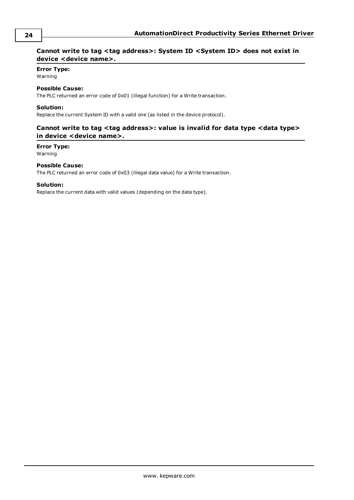#### <span id="page-23-0"></span>**Cannot write to tag <tag address>: System ID <System ID> does not exist in device <device name>.**

#### **Error Type:**

Warning

#### **Possible Cause:**

The PLC returned an error code of 0x01 (illegal function) for a Write transaction.

#### **Solution:**

<span id="page-23-1"></span>Replace the current System ID with a valid one (as listed in the device protocol).

#### **Cannot write to tag <tag address>: value is invalid for data type <data type> in device <device name>.**

#### **Error Type:**

Warning

#### **Possible Cause:**

The PLC returned an error code of 0x03 (illegal data value) for a Write transaction.

#### **Solution:**

Replace the current data with valid values (depending on the data type).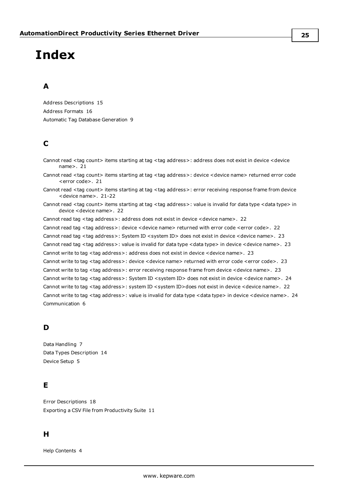# <span id="page-24-0"></span>**Index**

### **A**

Address Descriptions [15](#page-14-0) Address Formats [16](#page-15-1) Automatic Tag Database Generation [9](#page-8-0)

### **C**

Cannot read <tag count> items starting at tag <tag address>: address does not exist in device <device name>. [21](#page-20-2) Cannot read <tag count> items starting at tag <tag address>: device <device name> returned error code <error code>. [21](#page-20-3) Cannot read <tag count> items starting at tag <tag address>: error receiving response frame from device

<device name>. [21-22](#page-20-4)

Cannot read <tag count> items starting at tag <tag address>: value is invalid for data type <data type> in device <device name>. [22](#page-21-1)

Cannot read tag <tag address>: address does not exist in device <device name>. [22](#page-21-2)

Cannot read tag <tag address>: device <device name> returned with error code <error code>. [22](#page-21-3) Cannot read tag <tag address>: System ID < system ID> does not exist in device < device name>. [23](#page-22-0) Cannot read tag <tag address>: value is invalid for data type <data type> in device <device name>. [23](#page-22-1) Cannot write to tag <tag address>: address does not exist in device <device name>. [23](#page-22-2) Cannot write to tag <tag address>: device <device name> returned with error code <error code>. [23](#page-22-3) Cannot write to tag <tag address>: error receiving response frame from device <device name>. [23](#page-22-4) Cannot write to tag <tag address>: System ID <system ID> does not exist in device <device name>. [24](#page-23-0) Cannot write to tag <tag address>: system ID <system ID>does not exist in device <device name>. [22](#page-21-0) Cannot write to tag <tag address>: value is invalid for data type <data type> in device <device name>. [24](#page-23-1) Communication [6](#page-5-0)

### **D**

Data Handling [7](#page-6-0) Data Types Description [14](#page-13-0) Device Setup [5](#page-4-0)

### **E**

Error Descriptions [18](#page-17-0) Exporting a CSV File from Productivity Suite [11](#page-10-0)

### **H**

Help Contents [4](#page-3-0)